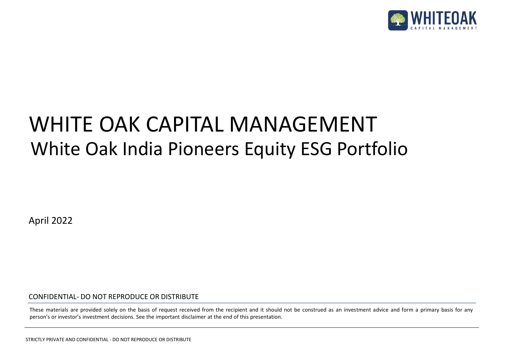

### White Oak India Pioneers Equity ESG Portfolio WHITE OAK CAPITAL MANAGEMENT

April 2022

CONFIDENTIAL- DO NOT REPRODUCE OR DISTRIBUTE

These materials are provided solely on the basis of request received from the recipient and it should not be construed as an investment advice and form a primary basis for any person's or investor's investment decisions. See the important disclaimer at the end of this presentation.

STRICTLY PRIVATE AND CONFIDENTIAL - DO NOT REPRODUCE OR DISTRIBUTE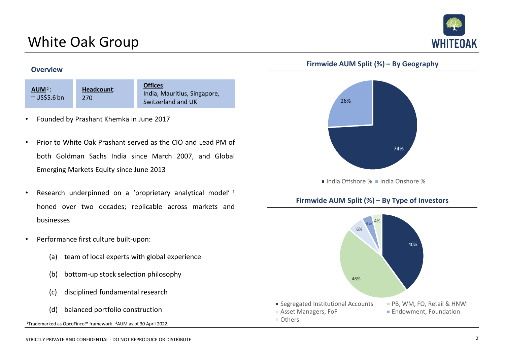### White Oak Group



#### **Firmwide AUM Split (%) – By Geography**



India Offshore % India Onshore %

#### **Firmwide AUM Split (%) – By Type of Investors**



#### **Overview**

| $AUM2$ :<br>$\sim$ US\$5.6 bn | Headcount:<br>270 | Offices:<br>India, Mauritius, Singapore,<br>Switzerland and UK |
|-------------------------------|-------------------|----------------------------------------------------------------|
|-------------------------------|-------------------|----------------------------------------------------------------|

- Founded by Prashant Khemka in June 2017
- Prior to White Oak Prashant served as the CIO and Lead PM of both Goldman Sachs India since March 2007, and Global Emerging Markets Equity since June 2013
- Research underpinned on a 'proprietary analytical model' <sup>1</sup> honed over two decades; replicable across markets and businesses
- Performance first culture built-upon:
	- (a) team of local experts with global experience
	- (b) bottom-up stock selection philosophy
	- (c) disciplined fundamental research
	- (d) balanced portfolio construction

<sup>1</sup>Trademarked as OpcoFinco™ framework . <sup>2</sup>AUM as of 30 April 2022.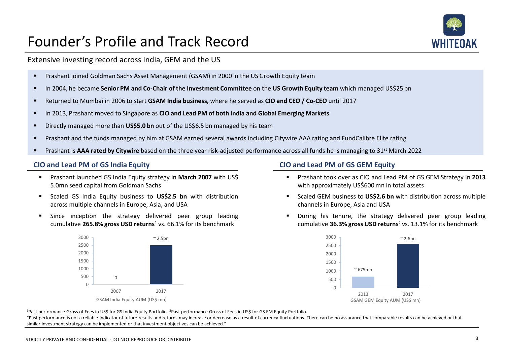### Founder's Profile and Track Record



Extensive investing record across India, GEM and the US

- Prashant joined Goldman Sachs Asset Management (GSAM) in 2000 in the US Growth Equity team
- In 2004, he became **Senior PM and Co-Chair of the Investment Committee** on the **US Growth Equity team** which managed US\$25 bn
- Returned to Mumbai in 2006 to start **GSAM India business,** where he served as **CIO and CEO / Co-CEO** until 2017
- In 2013, Prashant moved to Singapore as **CIO and Lead PM of both India and Global Emerging Markets**
- **E** Directly managed more than US\$5.0 bn out of the US\$6.5 bn managed by his team
- Prashant and the funds managed by him at GSAM earned several awards including Citywire AAA rating and FundCalibre Elite rating
- Prashant is **AAA rated by Citywire** based on the three year risk-adjusted performance across all funds he is managing to 31<sup>st</sup> March 2022

#### **CIO and Lead PM of GS India Equity CIO and Lead PM of GS GEM Equity**

- Prashant launched GS India Equity strategy in **March 2007** with US\$ 5.0mn seed capital from Goldman Sachs
- Scaled GS India Equity business to **US\$2.5 bn** with distribution across multiple channels in Europe, Asia, and USA
- **E** Since inception the strategy delivered peer group leading cumulative **265.8% gross USD returns**<sup>1</sup> vs. 66.1% for its benchmark



- Prashant took over as CIO and Lead PM of GS GEM Strategy in **2013** with approximately US\$600 mn in total assets
- Scaled GEM business to **US\$2.6 bn** with distribution across multiple channels in Europe, Asia and USA
- During his tenure, the strategy delivered peer group leading cumulative **36.3% gross USD returns**<sup>2</sup> vs. 13.1% for its benchmark



<sup>1</sup>Past performance Gross of Fees in US\$ for GS India Equity Portfolio. <sup>2</sup>Past performance Gross of Fees in US\$ for GS EM Equity Portfolio.

"Past performance is not a reliable indicator of future results and returns may increase or decrease as a result of currency fluctuations. There can be no assurance that comparable results can be achieved or that similar investment strategy can be implemented or that investment objectives can be achieved."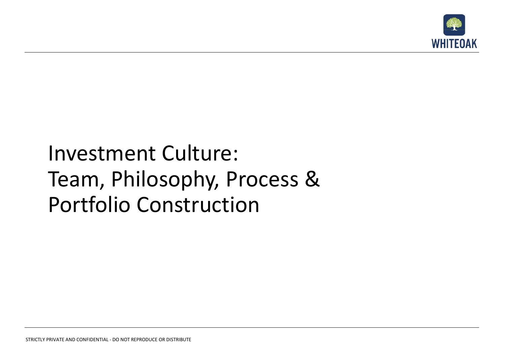

### Investment Culture: Team, Philosophy, Process & Portfolio Construction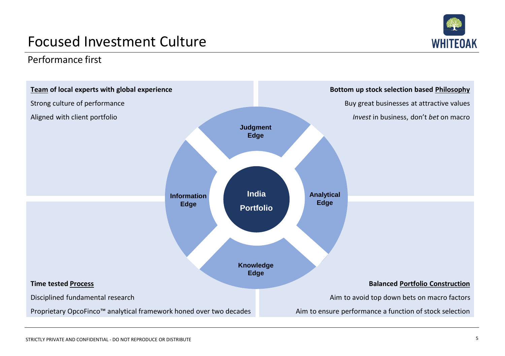## **WHITEOAK**

### Focused Investment Culture

Performance first

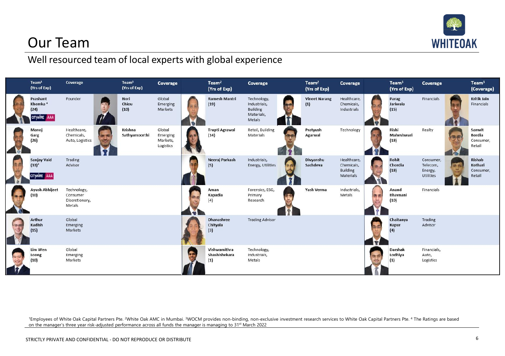

### Our Team

#### Well resourced team of local experts with global experience



<sup>1</sup>Employees of White Oak Capital Partners Pte. <sup>2</sup>White Oak AMC in Mumbai. <sup>3</sup>WOCM provides non-binding, non-exclusive investment research services to White Oak Capital Partners Pte. 4 The Ratings are based on the manager's three year risk-adjusted performance across all funds the manager is managing to 31st March 2022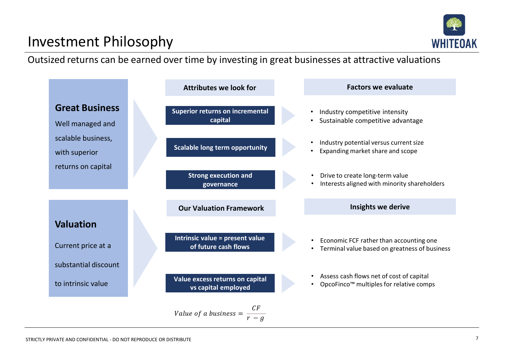# **WHITEOAK**

### Investment Philosophy

Outsized returns can be earned over time by investing in great businesses at attractive valuations

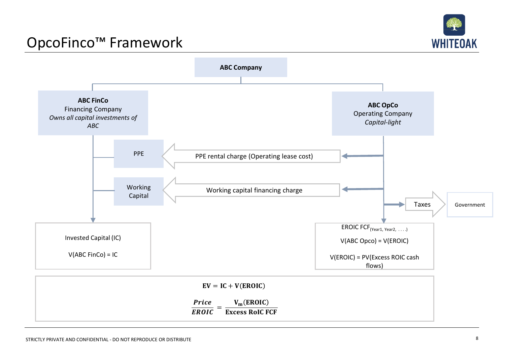

### OpcoFinco™ Framework

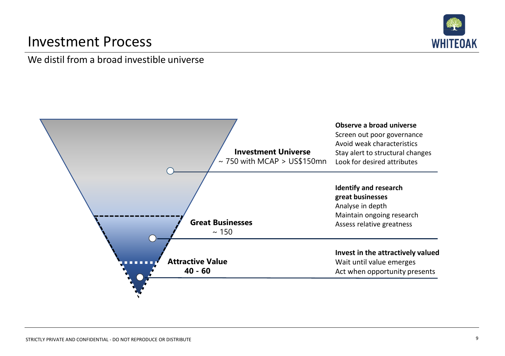### Investment Process



#### We distil from a broad investible universe

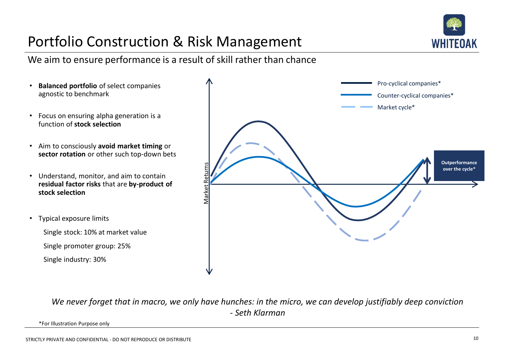### Portfolio Construction & Risk Management



We aim to ensure performance is a result of skill rather than chance

- **Balanced portfolio** of select companies agnostic to benchmark
- Focus on ensuring alpha generation is a function of **stock selection**
- Aim to consciously **avoid market timing** or **sector rotation** or other such top-down bets
- Understand, monitor, and aim to contain **residual factor risks** that are **by-product of stock selection**
- Typical exposure limits

Single stock: 10% at market value

Single promoter group: 25%

Single industry: 30%



*We never forget that in macro, we only have hunches: in the micro, we can develop justifiably deep conviction - Seth Klarman*

\*For Illustration Purpose only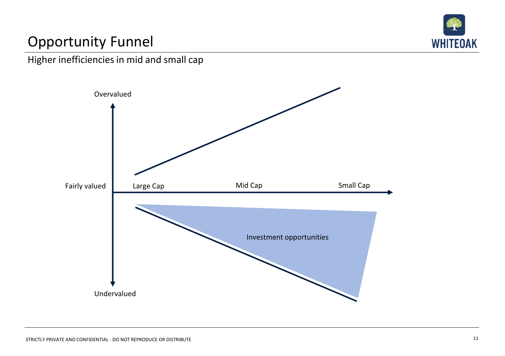

### Opportunity Funnel



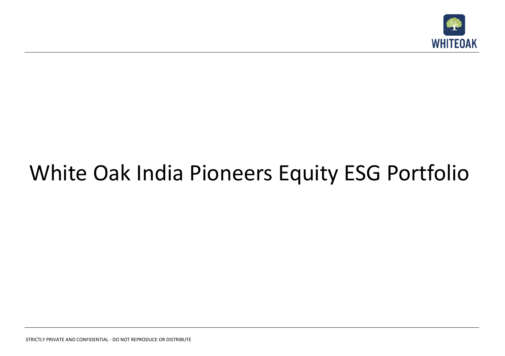

## White Oak India Pioneers Equity ESG Portfolio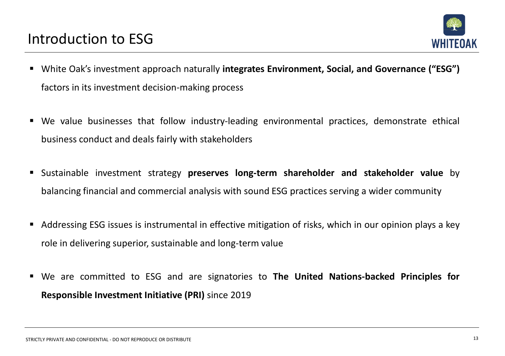

- White Oak's investment approach naturally **integrates Environment, Social, and Governance ("ESG")** factors in its investment decision-making process
- We value businesses that follow industry-leading environmental practices, demonstrate ethical business conduct and deals fairly with stakeholders
- Sustainable investment strategy **preserves long-term shareholder and stakeholder value** by balancing financial and commercial analysis with sound ESG practices serving a wider community
- Addressing ESG issues is instrumental in effective mitigation of risks, which in our opinion plays a key role in delivering superior, sustainable and long-term value
- We are committed to ESG and are signatories to **The United Nations-backed Principles for Responsible Investment Initiative (PRI)** since 2019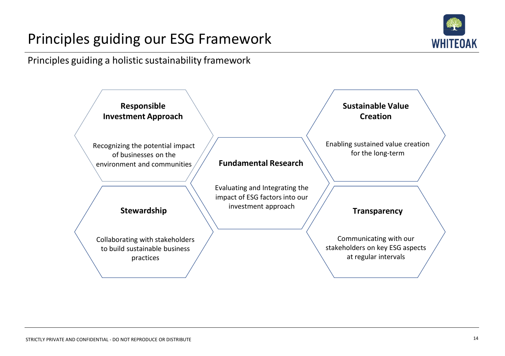### Principles guiding our ESG Framework



Principles guiding a holistic sustainability framework

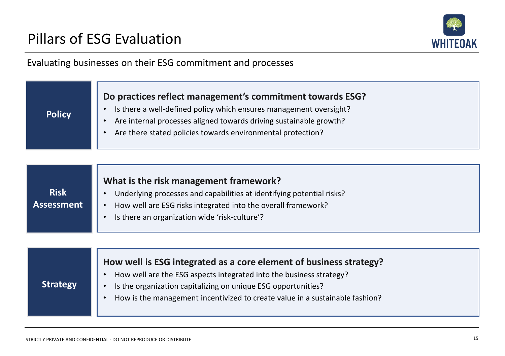**Policy**



#### Evaluating businesses on their ESG commitment and processes

#### **Do practices reflect management's commitment towards ESG?**

- Is there a well-defined policy which ensures management oversight?
- Are internal processes aligned towards driving sustainable growth?
- Are there stated policies towards environmental protection?

|             | What is the risk management framework?                                |
|-------------|-----------------------------------------------------------------------|
| <b>Risk</b> | Underlying processes and capabilities at identifying potential risks? |
| Assessment  | How well are ESG risks integrated into the overall framework?         |
|             | Is there an organization wide 'risk-culture'?                         |
|             |                                                                       |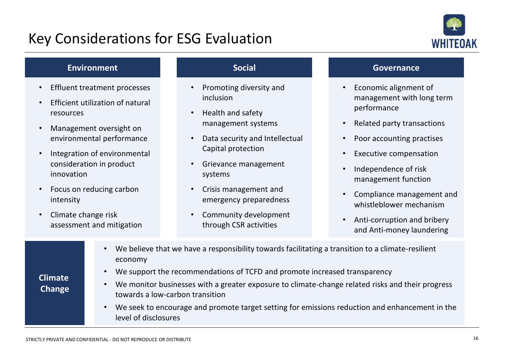### Key Considerations for ESG Evaluation



#### **Environment**

- Effluent treatment processes
- Efficient utilization of natural resources
- Management oversight on environmental performance
- Integration of environmental consideration in product innovation
- Focus on reducing carbon intensity
- Climate change risk assessment and mitigation

#### **Social**

- Promoting diversity and inclusion
- Health and safety management systems
- Data security and Intellectual Capital protection
- Grievance management systems
- Crisis management and emergency preparedness
- Community development through CSR activities

#### **Governance**

- Economic alignment of management with long term performance
- Related party transactions
- Poor accounting practises
- Executive compensation
- Independence of risk management function
- Compliance management and whistleblower mechanism
- Anti-corruption and bribery and Anti-money laundering

|                | We believe that we have a responsibility towards facilitating a transition to a climate-resilient<br>economy                        |
|----------------|-------------------------------------------------------------------------------------------------------------------------------------|
| <b>Climate</b> | We support the recommendations of TCFD and promote increased transparency                                                           |
| Change         | We monitor businesses with a greater exposure to climate-change related risks and their progress<br>towards a low-carbon transition |
|                | We sook to encourage and promote target setting for emissions reduction and enhancement in the                                      |

• We seek to encourage and promote target setting for emissions reduction and enhancement in the level of disclosures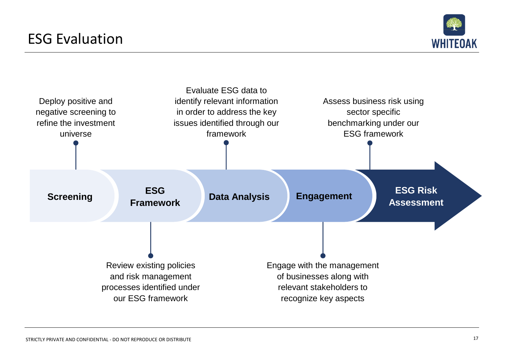

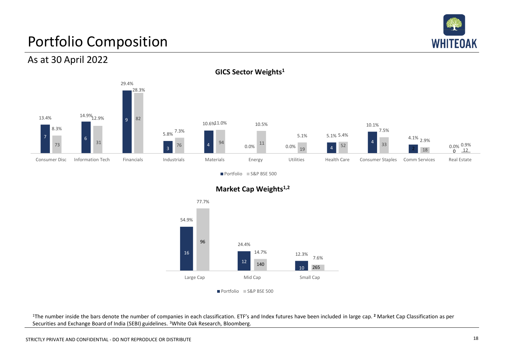

### Portfolio Composition

As at 30 April 2022



**GICS Sector Weights1**

Portfolio S&P BSE 500



**Market Cap Weights1,2**

Portfolio S&P BSE 500

<sup>1</sup>The number inside the bars denote the number of companies in each classification. ETF's and Index futures have been included in large cap. <sup>2</sup> Market Cap Classification as per Securities and Exchange Board of India (SEBI) guidelines. <sup>3</sup>White Oak Research, Bloomberg.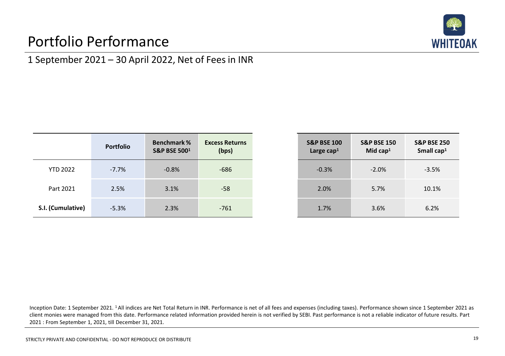### Portfolio Performance



#### 1 September 2021 – 30 April 2022, Net of Fees in INR

|                   | <b>Portfolio</b> | <b>Benchmark%</b><br><b>S&amp;P BSE 5001</b> | <b>Excess Returns</b><br>(bps) |
|-------------------|------------------|----------------------------------------------|--------------------------------|
| <b>YTD 2022</b>   | $-7.7%$          | $-0.8%$                                      | $-686$                         |
| Part 2021         | 2.5%             | 3.1%                                         | $-58$                          |
| S.I. (Cumulative) | $-5.3%$          | 2.3%                                         | $-761$                         |

| <b>S&amp;P BSE 100</b><br>Large cap <sup>1</sup> | <b>S&amp;P BSE 150</b><br>Mid cap <sup>1</sup> | <b>S&amp;P BSE 250</b><br>Small cap <sup>1</sup> |
|--------------------------------------------------|------------------------------------------------|--------------------------------------------------|
| $-0.3%$                                          | $-2.0%$                                        | $-3.5%$                                          |
| 2.0%                                             | 5.7%                                           | 10.1%                                            |
| 1.7%                                             | 3.6%                                           | 6.2%                                             |

Inception Date: 1 September 2021. <sup>1</sup>All indices are Net Total Return in INR. Performance is net of all fees and expenses (including taxes). Performance shown since 1 September 2021 as client monies were managed from this date. Performance related information provided herein is not verified by SEBI. Past performance is not a reliable indicator of future results. Part 2021 : From September 1, 2021, till December 31, 2021.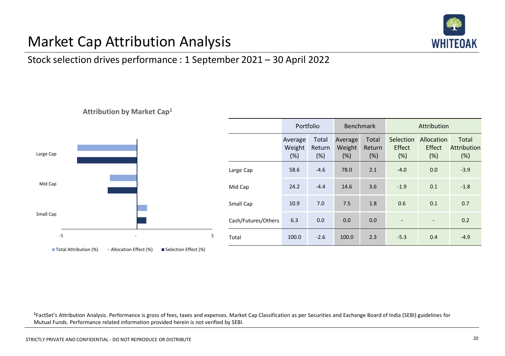

### Market Cap Attribution Analysis

**Attribution by Market Cap<sup>1</sup>**

#### Stock selection drives performance : 1 September 2021 – 30 April 2022



|         |   |                     | Portfolio                |                        | Benchmark                |                        | Attribution                |                             |                             |
|---------|---|---------------------|--------------------------|------------------------|--------------------------|------------------------|----------------------------|-----------------------------|-----------------------------|
|         |   |                     | Average<br>Weight<br>(%) | Total<br>Return<br>(%) | Average<br>Weight<br>(%) | Total<br>Return<br>(%) | Selection<br>Effect<br>(%) | Allocation<br>Effect<br>(%) | Total<br>Attribution<br>(%) |
|         |   | Large Cap           | 58.6                     | $-4.6$                 | 78.0                     | 2.1                    | $-4.0$                     | 0.0                         | $-3.9$                      |
|         |   | Mid Cap             | 24.2                     | $-4.4$                 | 14.6                     | 3.6                    | $-1.9$                     | 0.1                         | $-1.8$                      |
|         |   | Small Cap           | 10.9                     | 7.0                    | 7.5                      | 1.8                    | 0.6                        | 0.1                         | 0.7                         |
|         |   | Cash/Futures/Others | 6.3                      | 0.0                    | 0.0                      | 0.0                    | $\overline{\phantom{a}}$   | $\overline{\phantom{a}}$    | 0.2                         |
| -5<br>٠ | 5 | Total               | 100.0                    | $-2.6$                 | 100.0                    | 2.3                    | $-5.3$                     | 0.4                         | $-4.9$                      |

**<sup>1</sup>**FactSet's Attribution Analysis. Performance is gross of fees, taxes and expenses. Market Cap Classification as per Securities and Exchange Board of India (SEBI) guidelines for Mutual Funds. Performance related information provided herein is not verified by SEBI.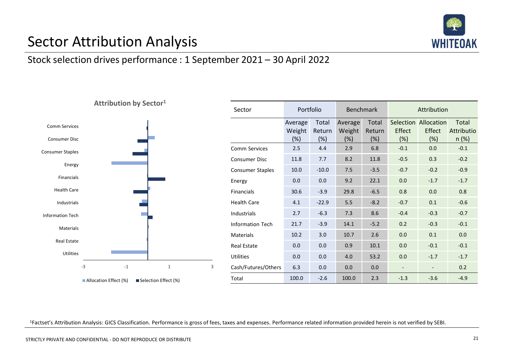

### Sector Attribution Analysis

#### Stock selection drives performance : 1 September 2021 – 30 April 2022



| Sector                  | Portfolio                |                        | <b>Benchmark</b>         |                        | Attribution    |                                        |                                 |
|-------------------------|--------------------------|------------------------|--------------------------|------------------------|----------------|----------------------------------------|---------------------------------|
|                         | Average<br>Weight<br>(%) | Total<br>Return<br>(%) | Average<br>Weight<br>(%) | Total<br>Return<br>(%) | Effect<br>(%)  | Selection Allocation<br>Effect<br>(% ) | Total<br>Attributio<br>$n (\%)$ |
| Comm Services           | 2.5                      | 4.4                    | 2.9                      | 6.8                    | $-0.1$         | 0.0                                    | $-0.1$                          |
| Consumer Disc           | 11.8                     | 7.7                    | 8.2                      | 11.8                   | $-0.5$         | 0.3                                    | $-0.2$                          |
| <b>Consumer Staples</b> | 10.0                     | $-10.0$                | 7.5                      | $-3.5$                 | $-0.7$         | $-0.2$                                 | $-0.9$                          |
| Energy                  | 0.0                      | 0.0                    | 9.2                      | 22.1                   | 0.0            | $-1.7$                                 | $-1.7$                          |
| Financials              | 30.6                     | $-3.9$                 | 29.8                     | $-6.5$                 | 0.8            | 0.0                                    | 0.8                             |
| <b>Health Care</b>      | 4.1                      | $-22.9$                | 5.5                      | $-8.2$                 | $-0.7$         | 0.1                                    | $-0.6$                          |
| Industrials             | 2.7                      | $-6.3$                 | 7.3                      | 8.6                    | $-0.4$         | $-0.3$                                 | $-0.7$                          |
| <b>Information Tech</b> | 21.7                     | $-3.9$                 | 14.1                     | $-5.2$                 | 0.2            | $-0.3$                                 | $-0.1$                          |
| Materials               | 10.2                     | 3.0                    | 10.7                     | 2.6                    | 0.0            | 0.1                                    | 0.0                             |
| Real Estate             | 0.0                      | 0.0                    | 0.9                      | 10.1                   | 0.0            | $-0.1$                                 | $-0.1$                          |
| Utilities               | 0.0                      | 0.0                    | 4.0                      | 53.2                   | 0.0            | $-1.7$                                 | $-1.7$                          |
| Cash/Futures/Others     | 6.3                      | 0.0                    | 0.0                      | 0.0                    | $\overline{a}$ |                                        | 0.2                             |
| Total                   | 100.0                    | $-2.6$                 | 100.0                    | 2.3                    | $-1.3$         | $-3.6$                                 | $-4.9$                          |

<sup>1</sup>Factset's Attribution Analysis: GICS Classification. Performance is gross of fees, taxes and expenses. Performance related information provided herein is not verified by SEBI.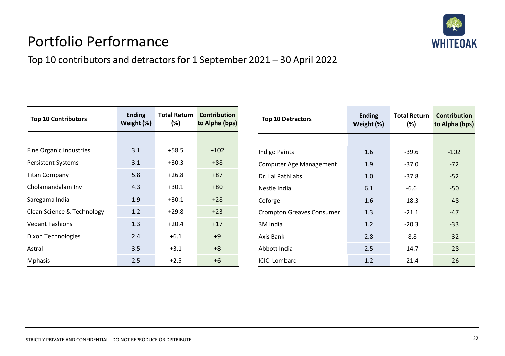

### Portfolio Performance

#### Top 10 contributors and detractors for 1 September 2021 – 30 April 2022

| <b>Top 10 Contributors</b> | <b>Ending</b><br>Weight (%) | $(\%)$  | <b>Total Return Contribution</b><br>to Alpha (bps) |
|----------------------------|-----------------------------|---------|----------------------------------------------------|
|                            |                             |         |                                                    |
| Fine Organic Industries    | 3.1                         | $+58.5$ | $+102$                                             |
| <b>Persistent Systems</b>  | 3.1                         | $+30.3$ | $+88$                                              |
| <b>Titan Company</b>       | 5.8                         | $+26.8$ | $+87$                                              |
| Cholamandalam Inv          | 4.3                         | $+30.1$ | $+80$                                              |
| Saregama India             | 1.9                         | $+30.1$ | $+28$                                              |
| Clean Science & Technology | 1.2                         | $+29.8$ | $+23$                                              |
| <b>Vedant Fashions</b>     | 1.3                         | $+20.4$ | $+17$                                              |
| Dixon Technologies         | 2.4                         | $+6.1$  | $+9$                                               |
| Astral                     | 3.5                         | $+3.1$  | $+8$                                               |
| <b>Mphasis</b>             | 2.5                         | $+2.5$  | $+6$                                               |

| <b>Top 10 Detractors</b>         | <b>Ending</b><br>Weight (%) | Total Return<br>(%) | <b>Contribution</b><br>to Alpha (bps) |
|----------------------------------|-----------------------------|---------------------|---------------------------------------|
|                                  |                             |                     |                                       |
| Indigo Paints                    | 1.6                         | $-39.6$             | $-102$                                |
| Computer Age Management          | 1.9                         | $-37.0$             | $-72$                                 |
| Dr. Lal PathLabs                 | 1.0                         | $-37.8$             | $-52$                                 |
| Nestle India                     | 6.1                         | $-6.6$              | $-50$                                 |
| Coforge                          | 1.6                         | $-18.3$             | $-48$                                 |
| <b>Crompton Greaves Consumer</b> | 1.3                         | $-21.1$             | $-47$                                 |
| 3M India                         | 1.2                         | $-20.3$             | $-33$                                 |
| Axis Bank                        | 2.8                         | $-8.8$              | $-32$                                 |
| Abbott India                     | 2.5                         | $-14.7$             | $-28$                                 |
| <b>ICICI Lombard</b>             | 1.2                         | $-21.4$             | $-26$                                 |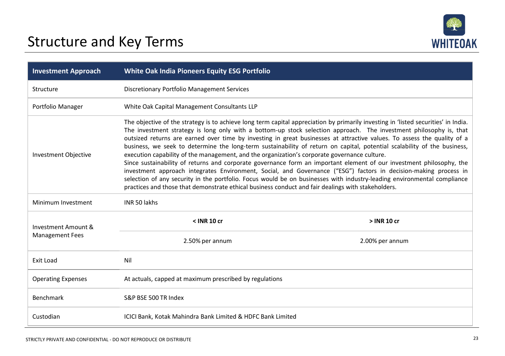

| <b>Investment Approach</b>  | White Oak India Pioneers Equity ESG Portfolio                                                                                                                                                                                                                                                                                                                                                                                                                                                                                                                                                                                                                                                                                                                                                                                                                                                                                                                                                                                                                                                |                 |  |  |
|-----------------------------|----------------------------------------------------------------------------------------------------------------------------------------------------------------------------------------------------------------------------------------------------------------------------------------------------------------------------------------------------------------------------------------------------------------------------------------------------------------------------------------------------------------------------------------------------------------------------------------------------------------------------------------------------------------------------------------------------------------------------------------------------------------------------------------------------------------------------------------------------------------------------------------------------------------------------------------------------------------------------------------------------------------------------------------------------------------------------------------------|-----------------|--|--|
| Structure                   | <b>Discretionary Portfolio Management Services</b>                                                                                                                                                                                                                                                                                                                                                                                                                                                                                                                                                                                                                                                                                                                                                                                                                                                                                                                                                                                                                                           |                 |  |  |
| Portfolio Manager           | White Oak Capital Management Consultants LLP                                                                                                                                                                                                                                                                                                                                                                                                                                                                                                                                                                                                                                                                                                                                                                                                                                                                                                                                                                                                                                                 |                 |  |  |
| <b>Investment Objective</b> | The objective of the strategy is to achieve long term capital appreciation by primarily investing in 'listed securities' in India.<br>The investment strategy is long only with a bottom-up stock selection approach. The investment philosophy is, that<br>outsized returns are earned over time by investing in great businesses at attractive values. To assess the quality of a<br>business, we seek to determine the long-term sustainability of return on capital, potential scalability of the business,<br>execution capability of the management, and the organization's corporate governance culture.<br>Since sustainability of returns and corporate governance form an important element of our investment philosophy, the<br>investment approach integrates Environment, Social, and Governance ("ESG") factors in decision-making process in<br>selection of any security in the portfolio. Focus would be on businesses with industry-leading environmental compliance<br>practices and those that demonstrate ethical business conduct and fair dealings with stakeholders. |                 |  |  |
| Minimum Investment          | INR 50 lakhs                                                                                                                                                                                                                                                                                                                                                                                                                                                                                                                                                                                                                                                                                                                                                                                                                                                                                                                                                                                                                                                                                 |                 |  |  |
| Investment Amount &         | $<$ INR 10 cr                                                                                                                                                                                                                                                                                                                                                                                                                                                                                                                                                                                                                                                                                                                                                                                                                                                                                                                                                                                                                                                                                | > INR 10 cr     |  |  |
| <b>Management Fees</b>      | 2.50% per annum                                                                                                                                                                                                                                                                                                                                                                                                                                                                                                                                                                                                                                                                                                                                                                                                                                                                                                                                                                                                                                                                              | 2.00% per annum |  |  |
| Exit Load                   | Nil                                                                                                                                                                                                                                                                                                                                                                                                                                                                                                                                                                                                                                                                                                                                                                                                                                                                                                                                                                                                                                                                                          |                 |  |  |
| <b>Operating Expenses</b>   | At actuals, capped at maximum prescribed by regulations                                                                                                                                                                                                                                                                                                                                                                                                                                                                                                                                                                                                                                                                                                                                                                                                                                                                                                                                                                                                                                      |                 |  |  |
| <b>Benchmark</b>            | S&P BSE 500 TR Index                                                                                                                                                                                                                                                                                                                                                                                                                                                                                                                                                                                                                                                                                                                                                                                                                                                                                                                                                                                                                                                                         |                 |  |  |
| Custodian                   | ICICI Bank, Kotak Mahindra Bank Limited & HDFC Bank Limited                                                                                                                                                                                                                                                                                                                                                                                                                                                                                                                                                                                                                                                                                                                                                                                                                                                                                                                                                                                                                                  |                 |  |  |